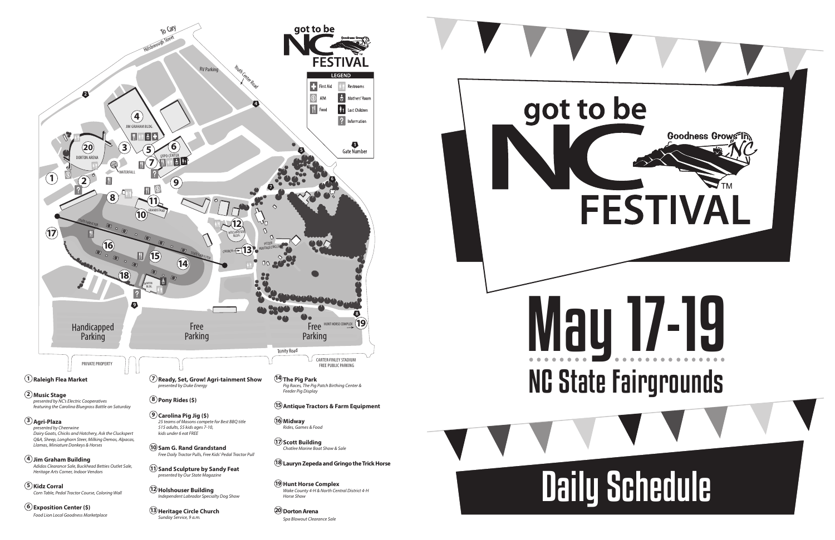# May 17-19 NC State Fairgrounds

## Daily Schedule

*Sunday Service, 9 a.m.*



*Spa Blowout Clearance Sale*